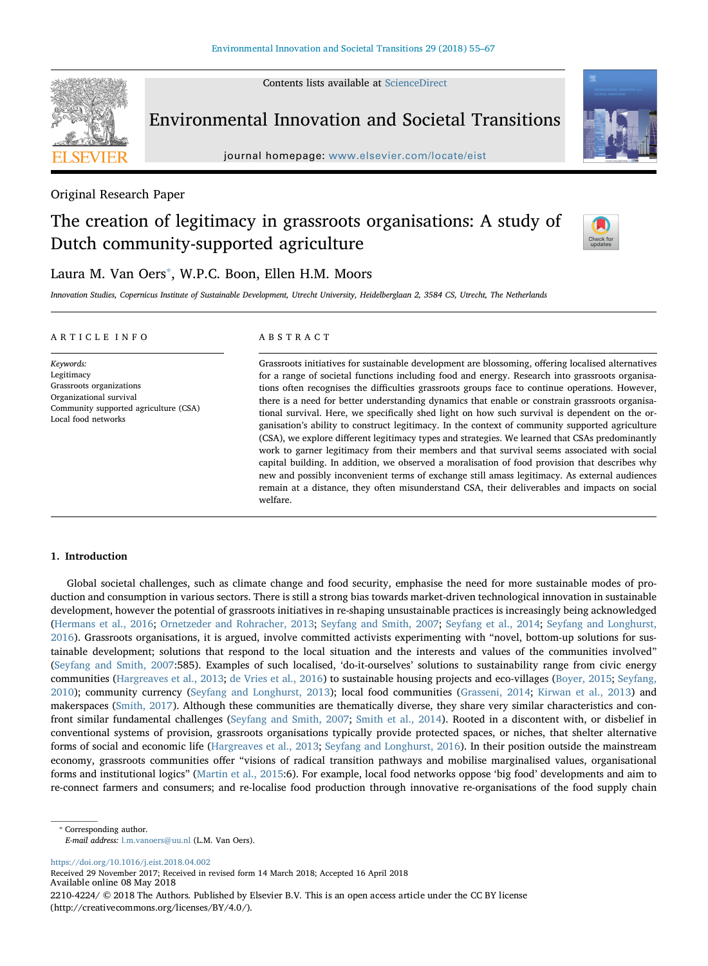Contents lists available at [ScienceDirect](http://www.sciencedirect.com/science/journal/22104224)



Environmental Innovation and Societal Transitions

journal homepage: [www.elsevier.com/locate/eist](https://www.elsevier.com/locate/eist)

# Original Research Paper

# The creation of legitimacy in grassroots organisations: A study of Dutch community-supported agriculture



Check f

Laura M. Van Oers<sup>\*</sup>, W.P.C. Boon, Ellen H.M. Moors

Innovation Studies, Copernicus Institute of Sustainable Development, Utrecht University, Heidelberglaan 2, 3584 CS, Utrecht, The Netherlands

## ARTICLE INFO

Keywords: Legitimacy Grassroots organizations Organizational survival Community supported agriculture (CSA) Local food networks

## ABSTRACT

Grassroots initiatives for sustainable development are blossoming, offering localised alternatives for a range of societal functions including food and energy. Research into grassroots organisations often recognises the difficulties grassroots groups face to continue operations. However, there is a need for better understanding dynamics that enable or constrain grassroots organisational survival. Here, we specifically shed light on how such survival is dependent on the organisation's ability to construct legitimacy. In the context of community supported agriculture (CSA), we explore different legitimacy types and strategies. We learned that CSAs predominantly work to garner legitimacy from their members and that survival seems associated with social capital building. In addition, we observed a moralisation of food provision that describes why new and possibly inconvenient terms of exchange still amass legitimacy. As external audiences remain at a distance, they often misunderstand CSA, their deliverables and impacts on social welfare.

#### 1. Introduction

Global societal challenges, such as climate change and food security, emphasise the need for more sustainable modes of production and consumption in various sectors. There is still a strong bias towards market-driven technological innovation in sustainable development, however the potential of grassroots initiatives in re-shaping unsustainable practices is increasingly being acknowledged ([Hermans et al., 2016](#page-12-0); [Ornetzeder and Rohracher, 2013;](#page-12-1) [Seyfang and Smith, 2007;](#page-12-2) [Seyfang et al., 2014](#page-12-3); [Seyfang and Longhurst,](#page-12-4) [2016\)](#page-12-4). Grassroots organisations, it is argued, involve committed activists experimenting with "novel, bottom-up solutions for sustainable development; solutions that respond to the local situation and the interests and values of the communities involved" ([Seyfang and Smith, 2007](#page-12-2):585). Examples of such localised, 'do-it-ourselves' solutions to sustainability range from civic energy communities ([Hargreaves et al., 2013](#page-12-5); [de Vries et al., 2016](#page-12-6)) to sustainable housing projects and eco-villages ([Boyer, 2015;](#page-11-0) [Seyfang,](#page-12-7) [2010\)](#page-12-7); community currency ([Seyfang and Longhurst, 2013\)](#page-12-8); local food communities [\(Grasseni, 2014](#page-12-9); [Kirwan et al., 2013\)](#page-12-10) and makerspaces [\(Smith, 2017\)](#page-12-11). Although these communities are thematically diverse, they share very similar characteristics and confront similar fundamental challenges ([Seyfang and Smith, 2007;](#page-12-2) [Smith et al., 2014\)](#page-12-12). Rooted in a discontent with, or disbelief in conventional systems of provision, grassroots organisations typically provide protected spaces, or niches, that shelter alternative forms of social and economic life [\(Hargreaves et al., 2013](#page-12-5); [Seyfang and Longhurst, 2016](#page-12-4)). In their position outside the mainstream economy, grassroots communities offer "visions of radical transition pathways and mobilise marginalised values, organisational forms and institutional logics" [\(Martin et al., 2015](#page-12-13):6). For example, local food networks oppose 'big food' developments and aim to re-connect farmers and consumers; and re-localise food production through innovative re-organisations of the food supply chain

<span id="page-0-0"></span>⁎ Corresponding author.

<https://doi.org/10.1016/j.eist.2018.04.002>

Received 29 November 2017; Received in revised form 14 March 2018; Accepted 16 April 2018 Available online 08 May 2018

E-mail address: [l.m.vanoers@uu.nl](mailto:l.m.vanoers@uu.nl) (L.M. Van Oers).

<sup>2210-4224/ © 2018</sup> The Authors. Published by Elsevier B.V. This is an open access article under the CC BY license (http://creativecommons.org/licenses/BY/4.0/).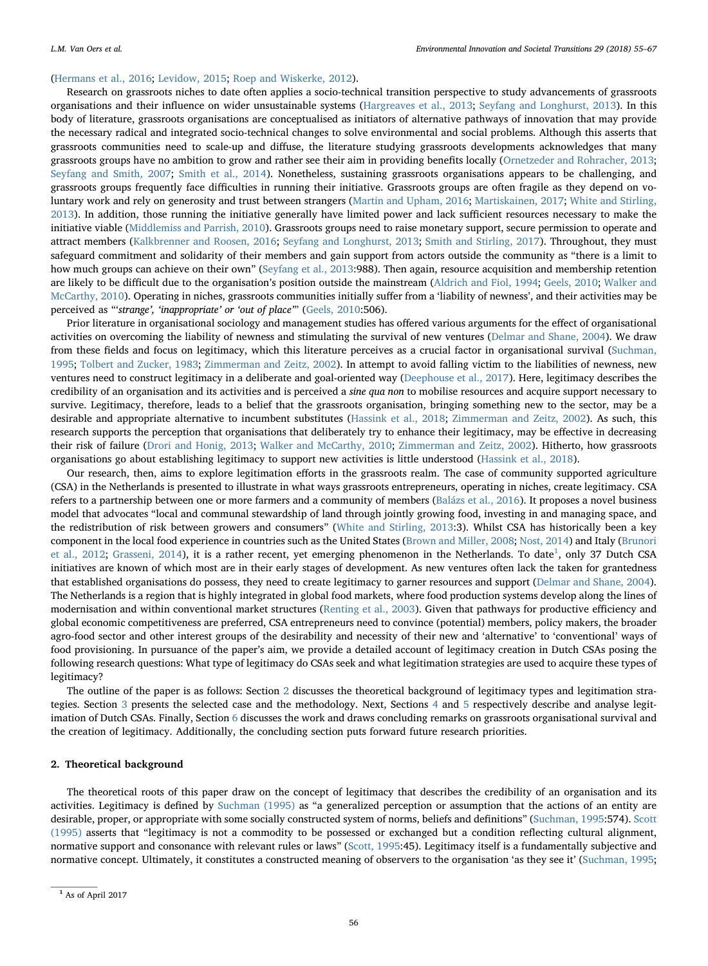# ([Hermans et al., 2016;](#page-12-0) [Levidow, 2015](#page-12-14); [Roep and Wiskerke, 2012\)](#page-12-15).

Research on grassroots niches to date often applies a socio-technical transition perspective to study advancements of grassroots organisations and their influence on wider unsustainable systems ([Hargreaves et al., 2013;](#page-12-5) [Seyfang and Longhurst, 2013](#page-12-8)). In this body of literature, grassroots organisations are conceptualised as initiators of alternative pathways of innovation that may provide the necessary radical and integrated socio-technical changes to solve environmental and social problems. Although this asserts that grassroots communities need to scale-up and diffuse, the literature studying grassroots developments acknowledges that many grassroots groups have no ambition to grow and rather see their aim in providing benefits locally [\(Ornetzeder and Rohracher, 2013;](#page-12-1) [Seyfang and Smith, 2007;](#page-12-2) [Smith et al., 2014](#page-12-12)). Nonetheless, sustaining grassroots organisations appears to be challenging, and grassroots groups frequently face difficulties in running their initiative. Grassroots groups are often fragile as they depend on voluntary work and rely on generosity and trust between strangers [\(Martin and Upham, 2016;](#page-12-16) [Martiskainen, 2017;](#page-12-17) [White and Stirling,](#page-12-18) [2013\)](#page-12-18). In addition, those running the initiative generally have limited power and lack sufficient resources necessary to make the initiative viable [\(Middlemiss and Parrish, 2010](#page-12-19)). Grassroots groups need to raise monetary support, secure permission to operate and attract members ([Kalkbrenner and Roosen, 2016;](#page-12-20) [Seyfang and Longhurst, 2013](#page-12-8); [Smith and Stirling, 2017](#page-12-21)). Throughout, they must safeguard commitment and solidarity of their members and gain support from actors outside the community as "there is a limit to how much groups can achieve on their own" [\(Seyfang et al., 2013:](#page-12-22)988). Then again, resource acquisition and membership retention are likely to be difficult due to the organisation's position outside the mainstream ([Aldrich and Fiol, 1994;](#page-11-1) [Geels, 2010](#page-12-23); [Walker and](#page-12-24) [McCarthy, 2010\)](#page-12-24). Operating in niches, grassroots communities initially suffer from a 'liability of newness', and their activities may be perceived as "'strange', 'inappropriate' or 'out of place"' ([Geels, 2010](#page-12-23):506).

Prior literature in organisational sociology and management studies has offered various arguments for the effect of organisational activities on overcoming the liability of newness and stimulating the survival of new ventures [\(Delmar and Shane, 2004\)](#page-12-25). We draw from these fields and focus on legitimacy, which this literature perceives as a crucial factor in organisational survival ([Suchman,](#page-12-26) [1995;](#page-12-26) [Tolbert and Zucker, 1983;](#page-12-27) [Zimmerman and Zeitz, 2002\)](#page-12-28). In attempt to avoid falling victim to the liabilities of newness, new ventures need to construct legitimacy in a deliberate and goal-oriented way ([Deephouse et al., 2017\)](#page-12-29). Here, legitimacy describes the credibility of an organisation and its activities and is perceived a sine qua non to mobilise resources and acquire support necessary to survive. Legitimacy, therefore, leads to a belief that the grassroots organisation, bringing something new to the sector, may be a desirable and appropriate alternative to incumbent substitutes [\(Hassink et al., 2018;](#page-12-30) [Zimmerman and Zeitz, 2002\)](#page-12-28). As such, this research supports the perception that organisations that deliberately try to enhance their legitimacy, may be effective in decreasing their risk of failure [\(Drori and Honig, 2013](#page-12-31); [Walker and McCarthy, 2010;](#page-12-24) [Zimmerman and Zeitz, 2002\)](#page-12-28). Hitherto, how grassroots organisations go about establishing legitimacy to support new activities is little understood [\(Hassink et al., 2018\)](#page-12-30).

Our research, then, aims to explore legitimation efforts in the grassroots realm. The case of community supported agriculture (CSA) in the Netherlands is presented to illustrate in what ways grassroots entrepreneurs, operating in niches, create legitimacy. CSA refers to a partnership between one or more farmers and a community of members ([Balázs et al., 2016\)](#page-11-2). It proposes a novel business model that advocates "local and communal stewardship of land through jointly growing food, investing in and managing space, and the redistribution of risk between growers and consumers" ([White and Stirling, 2013:](#page-12-18)3). Whilst CSA has historically been a key component in the local food experience in countries such as the United States [\(Brown and Miller, 2008;](#page-11-3) [Nost, 2014\)](#page-12-32) and Italy [\(Brunori](#page-11-4) [et al., 2012](#page-11-4); [Grasseni, 2014](#page-12-9)), it is a rather recent, yet emerging phenomenon in the Netherlands. To date<sup>[1](#page-1-0)</sup>, only 37 Dutch CSA initiatives are known of which most are in their early stages of development. As new ventures often lack the taken for grantedness that established organisations do possess, they need to create legitimacy to garner resources and support ([Delmar and Shane, 2004](#page-12-25)). The Netherlands is a region that is highly integrated in global food markets, where food production systems develop along the lines of modernisation and within conventional market structures ([Renting et al., 2003](#page-12-33)). Given that pathways for productive efficiency and global economic competitiveness are preferred, CSA entrepreneurs need to convince (potential) members, policy makers, the broader agro-food sector and other interest groups of the desirability and necessity of their new and 'alternative' to 'conventional' ways of food provisioning. In pursuance of the paper's aim, we provide a detailed account of legitimacy creation in Dutch CSAs posing the following research questions: What type of legitimacy do CSAs seek and what legitimation strategies are used to acquire these types of legitimacy?

The outline of the paper is as follows: Section [2](#page-1-1) discusses the theoretical background of legitimacy types and legitimation strategies. Section [3](#page-4-0) presents the selected case and the methodology. Next, Sections [4](#page-5-0) and [5](#page-9-0) respectively describe and analyse legitimation of Dutch CSAs. Finally, Section [6](#page-10-0) discusses the work and draws concluding remarks on grassroots organisational survival and the creation of legitimacy. Additionally, the concluding section puts forward future research priorities.

## <span id="page-1-1"></span>2. Theoretical background

The theoretical roots of this paper draw on the concept of legitimacy that describes the credibility of an organisation and its activities. Legitimacy is defined by [Suchman \(1995\)](#page-12-26) as "a generalized perception or assumption that the actions of an entity are desirable, proper, or appropriate with some socially constructed system of norms, beliefs and definitions" [\(Suchman, 1995:](#page-12-26)574). [Scott](#page-12-34) [\(1995\)](#page-12-34) asserts that "legitimacy is not a commodity to be possessed or exchanged but a condition reflecting cultural alignment, normative support and consonance with relevant rules or laws" ([Scott, 1995:](#page-12-34)45). Legitimacy itself is a fundamentally subjective and normative concept. Ultimately, it constitutes a constructed meaning of observers to the organisation 'as they see it' [\(Suchman, 1995;](#page-12-26)

<span id="page-1-0"></span> $\overline{1}$  As of April 2017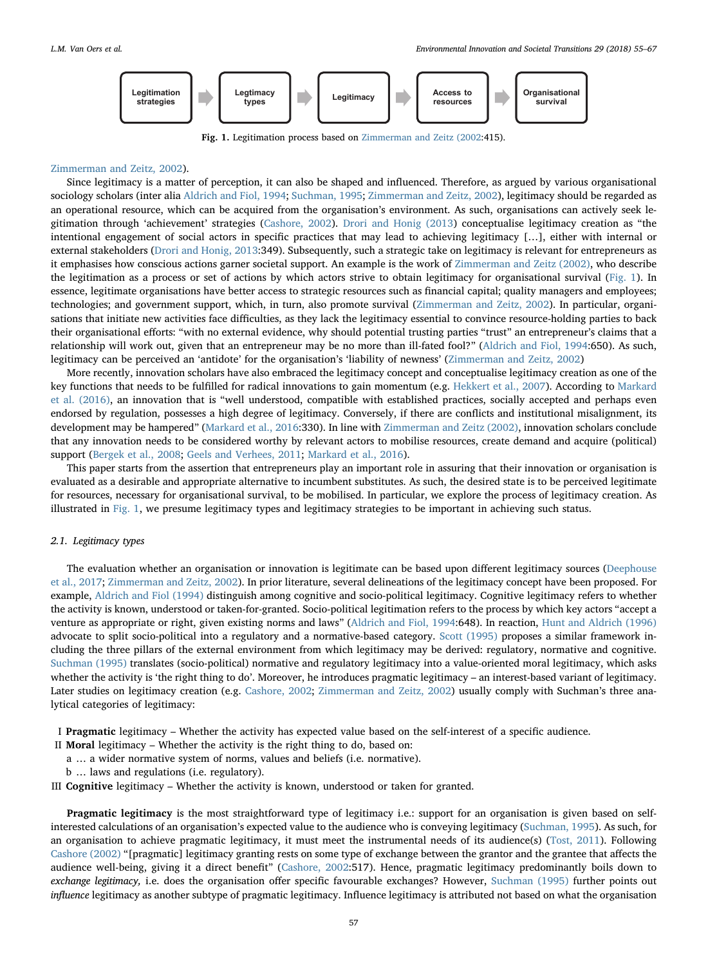<span id="page-2-0"></span>

Fig. 1. Legitimation process based on [Zimmerman and Zeitz \(2002](#page-12-28):415).

#### [Zimmerman and Zeitz, 2002](#page-12-28)).

Since legitimacy is a matter of perception, it can also be shaped and influenced. Therefore, as argued by various organisational sociology scholars (inter alia [Aldrich and Fiol, 1994](#page-11-1); [Suchman, 1995;](#page-12-26) [Zimmerman and Zeitz, 2002\)](#page-12-28), legitimacy should be regarded as an operational resource, which can be acquired from the organisation's environment. As such, organisations can actively seek legitimation through 'achievement' strategies [\(Cashore, 2002](#page-11-5)). [Drori and Honig \(2013\)](#page-12-31) conceptualise legitimacy creation as "the intentional engagement of social actors in specific practices that may lead to achieving legitimacy […], either with internal or external stakeholders ([Drori and Honig, 2013:](#page-12-31)349). Subsequently, such a strategic take on legitimacy is relevant for entrepreneurs as it emphasises how conscious actions garner societal support. An example is the work of [Zimmerman and Zeitz \(2002\)](#page-12-28), who describe the legitimation as a process or set of actions by which actors strive to obtain legitimacy for organisational survival ([Fig. 1\)](#page-2-0). In essence, legitimate organisations have better access to strategic resources such as financial capital; quality managers and employees; technologies; and government support, which, in turn, also promote survival [\(Zimmerman and Zeitz, 2002](#page-12-28)). In particular, organisations that initiate new activities face difficulties, as they lack the legitimacy essential to convince resource-holding parties to back their organisational efforts: "with no external evidence, why should potential trusting parties "trust" an entrepreneur's claims that a relationship will work out, given that an entrepreneur may be no more than ill-fated fool?" ([Aldrich and Fiol, 1994](#page-11-1):650). As such, legitimacy can be perceived an 'antidote' for the organisation's 'liability of newness' ([Zimmerman and Zeitz, 2002](#page-12-28))

More recently, innovation scholars have also embraced the legitimacy concept and conceptualise legitimacy creation as one of the key functions that needs to be fulfilled for radical innovations to gain momentum (e.g. [Hekkert et al., 2007\)](#page-12-35). According to [Markard](#page-12-36) [et al. \(2016\),](#page-12-36) an innovation that is "well understood, compatible with established practices, socially accepted and perhaps even endorsed by regulation, possesses a high degree of legitimacy. Conversely, if there are conflicts and institutional misalignment, its development may be hampered" [\(Markard et al., 2016:](#page-12-36)330). In line with [Zimmerman and Zeitz \(2002\),](#page-12-28) innovation scholars conclude that any innovation needs to be considered worthy by relevant actors to mobilise resources, create demand and acquire (political) support [\(Bergek et al., 2008](#page-11-6); Geels [and Verhees, 2011;](#page-12-37) [Markard et al., 2016](#page-12-36)).

This paper starts from the assertion that entrepreneurs play an important role in assuring that their innovation or organisation is evaluated as a desirable and appropriate alternative to incumbent substitutes. As such, the desired state is to be perceived legitimate for resources, necessary for organisational survival, to be mobilised. In particular, we explore the process of legitimacy creation. As illustrated in [Fig. 1](#page-2-0), we presume legitimacy types and legitimacy strategies to be important in achieving such status.

# 2.1. Legitimacy types

The evaluation whether an organisation or innovation is legitimate can be based upon different legitimacy sources ([Deephouse](#page-12-29) [et al., 2017;](#page-12-29) [Zimmerman and Zeitz, 2002\)](#page-12-28). In prior literature, several delineations of the legitimacy concept have been proposed. For example, [Aldrich and Fiol \(1994\)](#page-11-1) distinguish among cognitive and socio-political legitimacy. Cognitive legitimacy refers to whether the activity is known, understood or taken-for-granted. Socio-political legitimation refers to the process by which key actors "accept a venture as appropriate or right, given existing norms and laws" [\(Aldrich and Fiol, 1994](#page-11-1):648). In reaction, [Hunt and Aldrich \(1996\)](#page-12-38) advocate to split socio-political into a regulatory and a normative-based category. [Scott \(1995\)](#page-12-34) proposes a similar framework including the three pillars of the external environment from which legitimacy may be derived: regulatory, normative and cognitive. [Suchman \(1995\)](#page-12-26) translates (socio-political) normative and regulatory legitimacy into a value-oriented moral legitimacy, which asks whether the activity is 'the right thing to do'. Moreover, he introduces pragmatic legitimacy – an interest-based variant of legitimacy. Later studies on legitimacy creation (e.g. [Cashore, 2002;](#page-11-5) [Zimmerman and Zeitz, 2002](#page-12-28)) usually comply with Suchman's three analytical categories of legitimacy:

- I Pragmatic legitimacy Whether the activity has expected value based on the self-interest of a specific audience.
- II Moral legitimacy Whether the activity is the right thing to do, based on:
- a … a wider normative system of norms, values and beliefs (i.e. normative).
- b … laws and regulations (i.e. regulatory).
- III Cognitive legitimacy Whether the activity is known, understood or taken for granted.

Pragmatic legitimacy is the most straightforward type of legitimacy i.e.: support for an organisation is given based on selfinterested calculations of an organisation's expected value to the audience who is conveying legitimacy [\(Suchman, 1995\)](#page-12-26). As such, for an organisation to achieve pragmatic legitimacy, it must meet the instrumental needs of its audience(s) [\(Tost, 2011\)](#page-12-39). Following [Cashore \(2002\)](#page-11-5) "[pragmatic] legitimacy granting rests on some type of exchange between the grantor and the grantee that affects the audience well-being, giving it a direct benefit" ([Cashore, 2002](#page-11-5):517). Hence, pragmatic legitimacy predominantly boils down to exchange legitimacy, i.e. does the organisation offer specific favourable exchanges? However, [Suchman \(1995\)](#page-12-26) further points out influence legitimacy as another subtype of pragmatic legitimacy. Influence legitimacy is attributed not based on what the organisation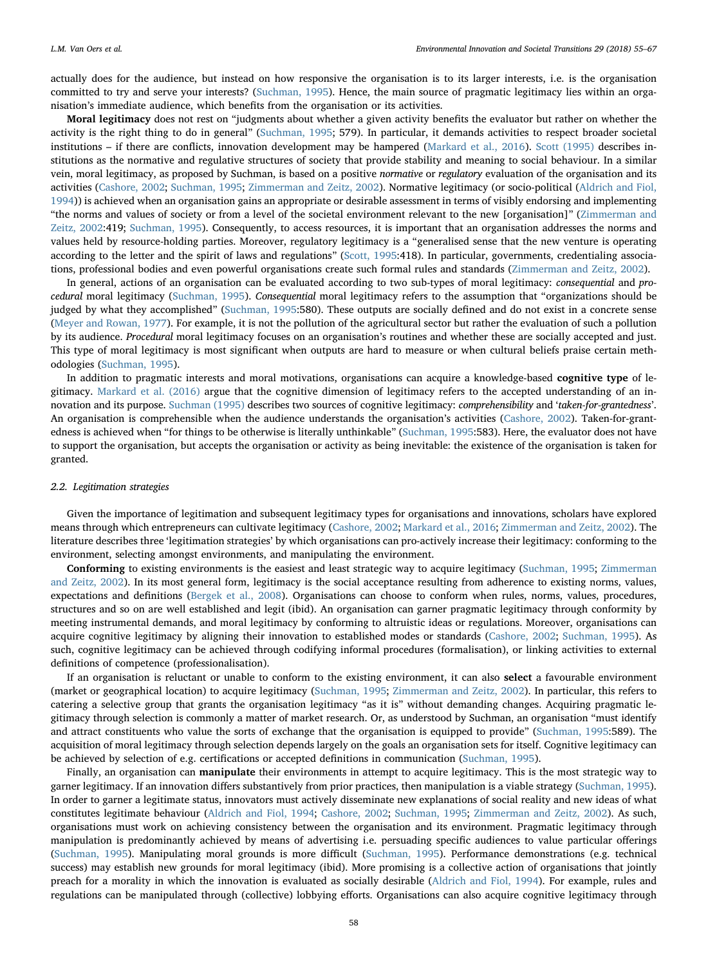actually does for the audience, but instead on how responsive the organisation is to its larger interests, i.e. is the organisation committed to try and serve your interests? [\(Suchman, 1995\)](#page-12-26). Hence, the main source of pragmatic legitimacy lies within an organisation's immediate audience, which benefits from the organisation or its activities.

Moral legitimacy does not rest on "judgments about whether a given activity benefits the evaluator but rather on whether the activity is the right thing to do in general" [\(Suchman, 1995;](#page-12-26) 579). In particular, it demands activities to respect broader societal institutions – if there are conflicts, innovation development may be hampered ([Markard et al., 2016\)](#page-12-36). [Scott \(1995\)](#page-12-34) describes institutions as the normative and regulative structures of society that provide stability and meaning to social behaviour. In a similar vein, moral legitimacy, as proposed by Suchman, is based on a positive normative or regulatory evaluation of the organisation and its activities [\(Cashore, 2002;](#page-11-5) [Suchman, 1995](#page-12-26); [Zimmerman and Zeitz, 2002\)](#page-12-28). Normative legitimacy (or socio-political ([Aldrich and Fiol,](#page-11-1) [1994\)](#page-11-1)) is achieved when an organisation gains an appropriate or desirable assessment in terms of visibly endorsing and implementing "the norms and values of society or from a level of the societal environment relevant to the new [organisation]" ([Zimmerman and](#page-12-28) [Zeitz, 2002](#page-12-28):419; [Suchman, 1995](#page-12-26)). Consequently, to access resources, it is important that an organisation addresses the norms and values held by resource-holding parties. Moreover, regulatory legitimacy is a "generalised sense that the new venture is operating according to the letter and the spirit of laws and regulations" ([Scott, 1995](#page-12-34):418). In particular, governments, credentialing associations, professional bodies and even powerful organisations create such formal rules and standards ([Zimmerman and Zeitz, 2002](#page-12-28)).

In general, actions of an organisation can be evaluated according to two sub-types of moral legitimacy: consequential and procedural moral legitimacy ([Suchman, 1995](#page-12-26)). Consequential moral legitimacy refers to the assumption that "organizations should be judged by what they accomplished" ([Suchman, 1995](#page-12-26):580). These outputs are socially defined and do not exist in a concrete sense ([Meyer and Rowan, 1977](#page-12-40)). For example, it is not the pollution of the agricultural sector but rather the evaluation of such a pollution by its audience. Procedural moral legitimacy focuses on an organisation's routines and whether these are socially accepted and just. This type of moral legitimacy is most significant when outputs are hard to measure or when cultural beliefs praise certain methodologies [\(Suchman, 1995](#page-12-26)).

In addition to pragmatic interests and moral motivations, organisations can acquire a knowledge-based cognitive type of legitimacy. Markard [et al. \(2016\)](#page-12-36) argue that the cognitive dimension of legitimacy refers to the accepted understanding of an innovation and its purpose. [Suchman \(1995\)](#page-12-26) describes two sources of cognitive legitimacy: comprehensibility and 'taken-for-grantedness'. An organisation is comprehensible when the audience understands the organisation's activities ([Cashore, 2002](#page-11-5)). Taken-for-grantedness is achieved when "for things to be otherwise is literally unthinkable" ([Suchman, 1995](#page-12-26):583). Here, the evaluator does not have to support the organisation, but accepts the organisation or activity as being inevitable: the existence of the organisation is taken for granted.

#### 2.2. Legitimation strategies

Given the importance of legitimation and subsequent legitimacy types for organisations and innovations, scholars have explored means through which entrepreneurs can cultivate legitimacy ([Cashore, 2002](#page-11-5); [Markard et al., 2016](#page-12-36); [Zimmerman and Zeitz, 2002\)](#page-12-28). The literature describes three 'legitimation strategies' by which organisations can pro-actively increase their legitimacy: conforming to the environment, selecting amongst environments, and manipulating the environment.

Conforming to existing environments is the easiest and least strategic way to acquire legitimacy [\(Suchman, 1995](#page-12-26); [Zimmerman](#page-12-28) [and Zeitz, 2002](#page-12-28)). In its most general form, legitimacy is the social acceptance resulting from adherence to existing norms, values, expectations and definitions ([Bergek et al., 2008\)](#page-11-6). Organisations can choose to conform when rules, norms, values, procedures, structures and so on are well established and legit (ibid). An organisation can garner pragmatic legitimacy through conformity by meeting instrumental demands, and moral legitimacy by conforming to altruistic ideas or regulations. Moreover, organisations can acquire cognitive legitimacy by aligning their innovation to established modes or standards [\(Cashore, 2002;](#page-11-5) [Suchman, 1995](#page-12-26)). As such, cognitive legitimacy can be achieved through codifying informal procedures (formalisation), or linking activities to external definitions of competence (professionalisation).

If an organisation is reluctant or unable to conform to the existing environment, it can also select a favourable environment (market or geographical location) to acquire legitimacy [\(Suchman, 1995](#page-12-26); [Zimmerman and Zeitz, 2002](#page-12-28)). In particular, this refers to catering a selective group that grants the organisation legitimacy "as it is" without demanding changes. Acquiring pragmatic legitimacy through selection is commonly a matter of market research. Or, as understood by Suchman, an organisation "must identify and attract constituents who value the sorts of exchange that the organisation is equipped to provide" ([Suchman, 1995](#page-12-26):589). The acquisition of moral legitimacy through selection depends largely on the goals an organisation sets for itself. Cognitive legitimacy can be achieved by selection of e.g. certifications or accepted definitions in communication [\(Suchman, 1995](#page-12-26)).

Finally, an organisation can **manipulate** their environments in attempt to acquire legitimacy. This is the most strategic way to garner legitimacy. If an innovation differs substantively from prior practices, then manipulation is a viable strategy ([Suchman, 1995](#page-12-26)). In order to garner a legitimate status, innovators must actively disseminate new explanations of social reality and new ideas of what constitutes legitimate behaviour ([Aldrich and Fiol, 1994;](#page-11-1) [Cashore, 2002](#page-11-5); [Suchman, 1995](#page-12-26); [Zimmerman and Zeitz, 2002](#page-12-28)). As such, organisations must work on achieving consistency between the organisation and its environment. Pragmatic legitimacy through manipulation is predominantly achieved by means of advertising i.e. persuading specific audiences to value particular offerings ([Suchman, 1995](#page-12-26)). Manipulating moral grounds is more difficult ([Suchman, 1995](#page-12-26)). Performance demonstrations (e.g. technical success) may establish new grounds for moral legitimacy (ibid). More promising is a collective action of organisations that jointly preach for a morality in which the innovation is evaluated as socially desirable [\(Aldrich and Fiol, 1994](#page-11-1)). For example, rules and regulations can be manipulated through (collective) lobbying efforts. Organisations can also acquire cognitive legitimacy through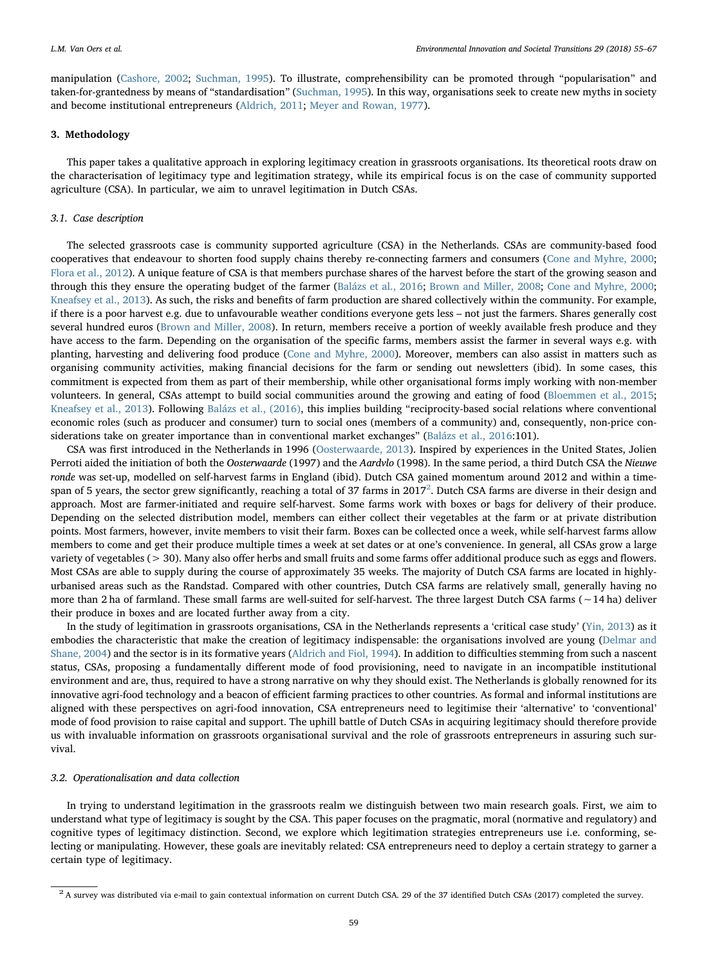manipulation ([Cashore, 2002;](#page-11-5) [Suchman, 1995\)](#page-12-26). To illustrate, comprehensibility can be promoted through "popularisation" and taken-for-grantedness by means of "standardisation" [\(Suchman, 1995\)](#page-12-26). In this way, organisations seek to create new myths in society and become institutional entrepreneurs [\(Aldrich, 2011](#page-11-7); [Meyer and Rowan, 1977\)](#page-12-40).

## <span id="page-4-0"></span>3. Methodology

This paper takes a qualitative approach in exploring legitimacy creation in grassroots organisations. Its theoretical roots draw on the characterisation of legitimacy type and legitimation strategy, while its empirical focus is on the case of community supported agriculture (CSA). In particular, we aim to unravel legitimation in Dutch CSAs.

## 3.1. Case description

The selected grassroots case is community supported agriculture (CSA) in the Netherlands. CSAs are community-based food cooperatives that endeavour to shorten food supply chains thereby re-connecting farmers and consumers ([Cone and Myhre, 2000;](#page-12-41) [Flora et al., 2012\)](#page-12-42). A unique feature of CSA is that members purchase shares of the harvest before the start of the growing season and through this they ensure the operating budget of the farmer ([Balázs et al., 2016](#page-11-2); [Brown and Miller, 2008](#page-11-3); [Cone and Myhre, 2000;](#page-12-41) [Kneafsey et al., 2013](#page-12-43)). As such, the risks and benefits of farm production are shared collectively within the community. For example, if there is a poor harvest e.g. due to unfavourable weather conditions everyone gets less – not just the farmers. Shares generally cost several hundred euros [\(Brown and Miller, 2008\)](#page-11-3). In return, members receive a portion of weekly available fresh produce and they have access to the farm. Depending on the organisation of the specific farms, members assist the farmer in several ways e.g. with planting, harvesting and delivering food produce ([Cone and Myhre, 2000\)](#page-12-41). Moreover, members can also assist in matters such as organising community activities, making financial decisions for the farm or sending out newsletters (ibid). In some cases, this commitment is expected from them as part of their membership, while other organisational forms imply working with non-member volunteers. In general, CSAs attempt to build social communities around the growing and eating of food [\(Bloemmen et al., 2015;](#page-11-8) [Kneafsey et al., 2013\)](#page-12-43). Following [Balázs et al., \(2016\)](#page-11-2), this implies building "reciprocity-based social relations where conventional economic roles (such as producer and consumer) turn to social ones (members of a community) and, consequently, non-price considerations take on greater importance than in conventional market exchanges" ([Balázs et al., 2016](#page-11-2):101).

CSA was first introduced in the Netherlands in 1996 [\(Oosterwaarde, 2013\)](#page-12-44). Inspired by experiences in the United States, Jolien Perroti aided the initiation of both the Oosterwaarde (1997) and the Aardvlo (1998). In the same period, a third Dutch CSA the Nieuwe ronde was set-up, modelled on self-harvest farms in England (ibid). Dutch CSA gained momentum around 2012 and within a time-span of 5 years, the sector grew significantly, reaching a total of 37 farms in [2](#page-4-1)017<sup>2</sup>. Dutch CSA farms are diverse in their design and approach. Most are farmer-initiated and require self-harvest. Some farms work with boxes or bags for delivery of their produce. Depending on the selected distribution model, members can either collect their vegetables at the farm or at private distribution points. Most farmers, however, invite members to visit their farm. Boxes can be collected once a week, while self-harvest farms allow members to come and get their produce multiple times a week at set dates or at one's convenience. In general, all CSAs grow a large variety of vegetables (> 30). Many also offer herbs and small fruits and some farms offer additional produce such as eggs and flowers. Most CSAs are able to supply during the course of approximately 35 weeks. The majority of Dutch CSA farms are located in highlyurbanised areas such as the Randstad. Compared with other countries, Dutch CSA farms are relatively small, generally having no more than 2 ha of farmland. These small farms are well-suited for self-harvest. The three largest Dutch CSA farms (∼14 ha) deliver their produce in boxes and are located further away from a city.

In the study of legitimation in grassroots organisations, CSA in the Netherlands represents a 'critical case study' ([Yin, 2013](#page-12-45)) as it embodies the characteristic that make the creation of legitimacy indispensable: the organisations involved are young ([Delmar and](#page-12-25) [Shane, 2004](#page-12-25)) and the sector is in its formative years ([Aldrich and Fiol, 1994](#page-11-1)). In addition to difficulties stemming from such a nascent status, CSAs, proposing a fundamentally different mode of food provisioning, need to navigate in an incompatible institutional environment and are, thus, required to have a strong narrative on why they should exist. The Netherlands is globally renowned for its innovative agri-food technology and a beacon of efficient farming practices to other countries. As formal and informal institutions are aligned with these perspectives on agri-food innovation, CSA entrepreneurs need to legitimise their 'alternative' to 'conventional' mode of food provision to raise capital and support. The uphill battle of Dutch CSAs in acquiring legitimacy should therefore provide us with invaluable information on grassroots organisational survival and the role of grassroots entrepreneurs in assuring such survival.

#### 3.2. Operationalisation and data collection

In trying to understand legitimation in the grassroots realm we distinguish between two main research goals. First, we aim to understand what type of legitimacy is sought by the CSA. This paper focuses on the pragmatic, moral (normative and regulatory) and cognitive types of legitimacy distinction. Second, we explore which legitimation strategies entrepreneurs use i.e. conforming, selecting or manipulating. However, these goals are inevitably related: CSA entrepreneurs need to deploy a certain strategy to garner a certain type of legitimacy.

<span id="page-4-1"></span><sup>2</sup> A survey was distributed via e-mail to gain contextual information on current Dutch CSA. 29 of the 37 identified Dutch CSAs (2017) completed the survey.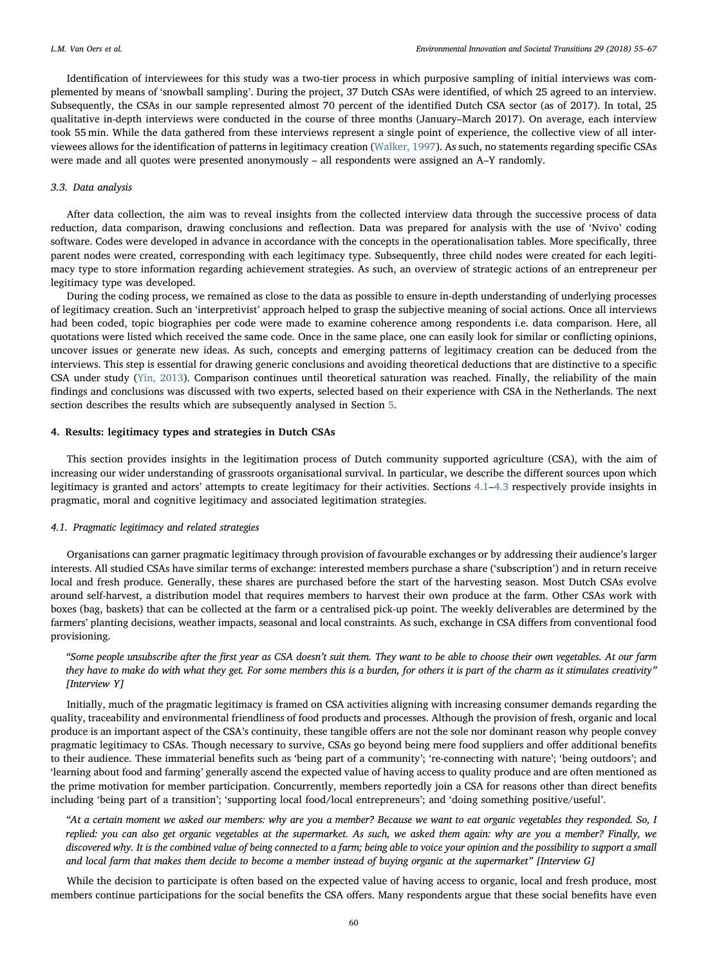Identification of interviewees for this study was a two-tier process in which purposive sampling of initial interviews was complemented by means of 'snowball sampling'. During the project, 37 Dutch CSAs were identified, of which 25 agreed to an interview. Subsequently, the CSAs in our sample represented almost 70 percent of the identified Dutch CSA sector (as of 2017). In total, 25 qualitative in-depth interviews were conducted in the course of three months (January–March 2017). On average, each interview took 55 min. While the data gathered from these interviews represent a single point of experience, the collective view of all interviewees allows for the identification of patterns in legitimacy creation ([Walker, 1997](#page-12-46)). As such, no statements regarding specific CSAs were made and all quotes were presented anonymously – all respondents were assigned an A–Y randomly.

## 3.3. Data analysis

After data collection, the aim was to reveal insights from the collected interview data through the successive process of data reduction, data comparison, drawing conclusions and reflection. Data was prepared for analysis with the use of 'Nvivo' coding software. Codes were developed in advance in accordance with the concepts in the operationalisation tables. More specifically, three parent nodes were created, corresponding with each legitimacy type. Subsequently, three child nodes were created for each legitimacy type to store information regarding achievement strategies. As such, an overview of strategic actions of an entrepreneur per legitimacy type was developed.

During the coding process, we remained as close to the data as possible to ensure in-depth understanding of underlying processes of legitimacy creation. Such an 'interpretivist' approach helped to grasp the subjective meaning of social actions. Once all interviews had been coded, topic biographies per code were made to examine coherence among respondents i.e. data comparison. Here, all quotations were listed which received the same code. Once in the same place, one can easily look for similar or conflicting opinions, uncover issues or generate new ideas. As such, concepts and emerging patterns of legitimacy creation can be deduced from the interviews. This step is essential for drawing generic conclusions and avoiding theoretical deductions that are distinctive to a specific CSA under study ([Yin, 2013](#page-12-45)). Comparison continues until theoretical saturation was reached. Finally, the reliability of the main findings and conclusions was discussed with two experts, selected based on their experience with CSA in the Netherlands. The next section describes the results which are subsequently analysed in Section [5](#page-9-0).

## <span id="page-5-0"></span>4. Results: legitimacy types and strategies in Dutch CSAs

This section provides insights in the legitimation process of Dutch community supported agriculture (CSA), with the aim of increasing our wider understanding of grassroots organisational survival. In particular, we describe the different sources upon which legitimacy is granted and actors' attempts to create legitimacy for their activities. Sections [4.1](#page-5-1)–[4.3](#page-8-0) respectively provide insights in pragmatic, moral and cognitive legitimacy and associated legitimation strategies.

## <span id="page-5-1"></span>4.1. Pragmatic legitimacy and related strategies

Organisations can garner pragmatic legitimacy through provision of favourable exchanges or by addressing their audience's larger interests. All studied CSAs have similar terms of exchange: interested members purchase a share ('subscription') and in return receive local and fresh produce. Generally, these shares are purchased before the start of the harvesting season. Most Dutch CSAs evolve around self-harvest, a distribution model that requires members to harvest their own produce at the farm. Other CSAs work with boxes (bag, baskets) that can be collected at the farm or a centralised pick-up point. The weekly deliverables are determined by the farmers' planting decisions, weather impacts, seasonal and local constraints. As such, exchange in CSA differs from conventional food provisioning.

# "Some people unsubscribe after the first year as CSA doesn't suit them. They want to be able to choose their own vegetables. At our farm they have to make do with what they get. For some members this is a burden, for others it is part of the charm as it stimulates creativity" [Interview Y]

Initially, much of the pragmatic legitimacy is framed on CSA activities aligning with increasing consumer demands regarding the quality, traceability and environmental friendliness of food products and processes. Although the provision of fresh, organic and local produce is an important aspect of the CSA's continuity, these tangible offers are not the sole nor dominant reason why people convey pragmatic legitimacy to CSAs. Though necessary to survive, CSAs go beyond being mere food suppliers and offer additional benefits to their audience. These immaterial benefits such as 'being part of a community'; 're-connecting with nature'; 'being outdoors'; and 'learning about food and farming' generally ascend the expected value of having access to quality produce and are often mentioned as the prime motivation for member participation. Concurrently, members reportedly join a CSA for reasons other than direct benefits including 'being part of a transition'; 'supporting local food/local entrepreneurs'; and 'doing something positive/useful'.

"At a certain moment we asked our members: why are you a member? Because we want to eat organic vegetables they responded. So, I replied: you can also get organic vegetables at the supermarket. As such, we asked them again: why are you a member? Finally, we discovered why. It is the combined value of being connected to a farm; being able to voice your opinion and the possibility to support a small and local farm that makes them decide to become a member instead of buying organic at the supermarket" [Interview G]

While the decision to participate is often based on the expected value of having access to organic, local and fresh produce, most members continue participations for the social benefits the CSA offers. Many respondents argue that these social benefits have even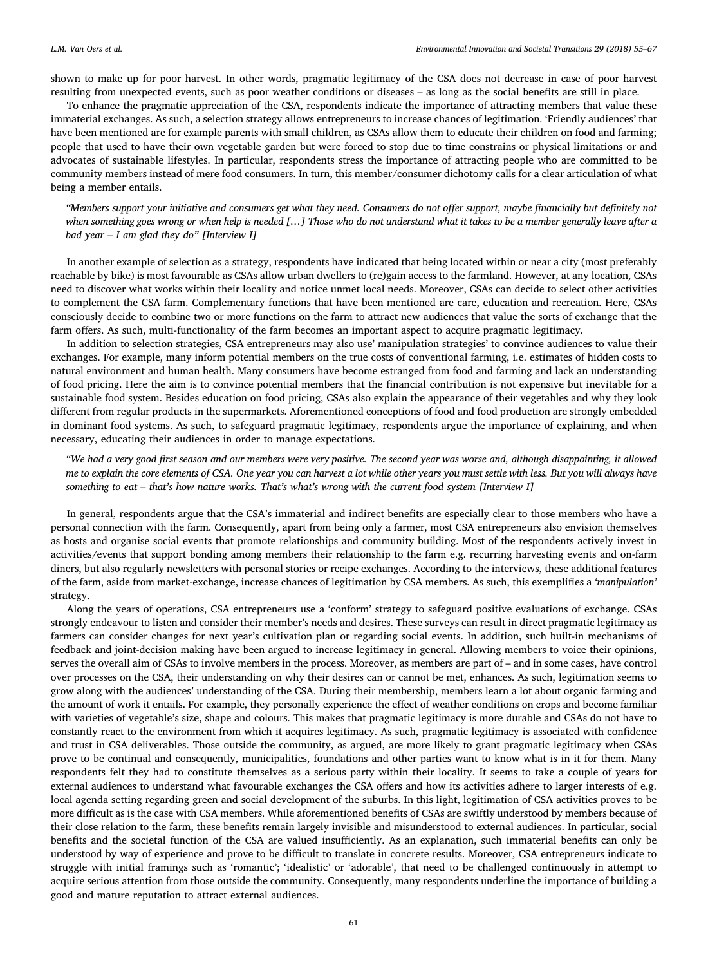shown to make up for poor harvest. In other words, pragmatic legitimacy of the CSA does not decrease in case of poor harvest resulting from unexpected events, such as poor weather conditions or diseases – as long as the social benefits are still in place.

To enhance the pragmatic appreciation of the CSA, respondents indicate the importance of attracting members that value these immaterial exchanges. As such, a selection strategy allows entrepreneurs to increase chances of legitimation. 'Friendly audiences' that have been mentioned are for example parents with small children, as CSAs allow them to educate their children on food and farming; people that used to have their own vegetable garden but were forced to stop due to time constrains or physical limitations or and advocates of sustainable lifestyles. In particular, respondents stress the importance of attracting people who are committed to be community members instead of mere food consumers. In turn, this member/consumer dichotomy calls for a clear articulation of what being a member entails.

"Members support your initiative and consumers get what they need. Consumers do not offer support, maybe financially but definitely not when something goes wrong or when help is needed […] Those who do not understand what it takes to be a member generally leave after a bad year  $- I$  am glad they do" [Interview I]

In another example of selection as a strategy, respondents have indicated that being located within or near a city (most preferably reachable by bike) is most favourable as CSAs allow urban dwellers to (re)gain access to the farmland. However, at any location, CSAs need to discover what works within their locality and notice unmet local needs. Moreover, CSAs can decide to select other activities to complement the CSA farm. Complementary functions that have been mentioned are care, education and recreation. Here, CSAs consciously decide to combine two or more functions on the farm to attract new audiences that value the sorts of exchange that the farm offers. As such, multi-functionality of the farm becomes an important aspect to acquire pragmatic legitimacy.

In addition to selection strategies, CSA entrepreneurs may also use' manipulation strategies' to convince audiences to value their exchanges. For example, many inform potential members on the true costs of conventional farming, i.e. estimates of hidden costs to natural environment and human health. Many consumers have become estranged from food and farming and lack an understanding of food pricing. Here the aim is to convince potential members that the financial contribution is not expensive but inevitable for a sustainable food system. Besides education on food pricing, CSAs also explain the appearance of their vegetables and why they look different from regular products in the supermarkets. Aforementioned conceptions of food and food production are strongly embedded in dominant food systems. As such, to safeguard pragmatic legitimacy, respondents argue the importance of explaining, and when necessary, educating their audiences in order to manage expectations.

"We had a very good first season and our members were very positive. The second year was worse and, although disappointing, it allowed me to explain the core elements of CSA. One year you can harvest a lot while other years you must settle with less. But you will always have something to eat – that's how nature works. That's what's wrong with the current food system [Interview I]

In general, respondents argue that the CSA's immaterial and indirect benefits are especially clear to those members who have a personal connection with the farm. Consequently, apart from being only a farmer, most CSA entrepreneurs also envision themselves as hosts and organise social events that promote relationships and community building. Most of the respondents actively invest in activities/events that support bonding among members their relationship to the farm e.g. recurring harvesting events and on-farm diners, but also regularly newsletters with personal stories or recipe exchanges. According to the interviews, these additional features of the farm, aside from market-exchange, increase chances of legitimation by CSA members. As such, this exemplifies a 'manipulation' strategy.

Along the years of operations, CSA entrepreneurs use a 'conform' strategy to safeguard positive evaluations of exchange. CSAs strongly endeavour to listen and consider their member's needs and desires. These surveys can result in direct pragmatic legitimacy as farmers can consider changes for next year's cultivation plan or regarding social events. In addition, such built-in mechanisms of feedback and joint-decision making have been argued to increase legitimacy in general. Allowing members to voice their opinions, serves the overall aim of CSAs to involve members in the process. Moreover, as members are part of – and in some cases, have control over processes on the CSA, their understanding on why their desires can or cannot be met, enhances. As such, legitimation seems to grow along with the audiences' understanding of the CSA. During their membership, members learn a lot about organic farming and the amount of work it entails. For example, they personally experience the effect of weather conditions on crops and become familiar with varieties of vegetable's size, shape and colours. This makes that pragmatic legitimacy is more durable and CSAs do not have to constantly react to the environment from which it acquires legitimacy. As such, pragmatic legitimacy is associated with confidence and trust in CSA deliverables. Those outside the community, as argued, are more likely to grant pragmatic legitimacy when CSAs prove to be continual and consequently, municipalities, foundations and other parties want to know what is in it for them. Many respondents felt they had to constitute themselves as a serious party within their locality. It seems to take a couple of years for external audiences to understand what favourable exchanges the CSA offers and how its activities adhere to larger interests of e.g. local agenda setting regarding green and social development of the suburbs. In this light, legitimation of CSA activities proves to be more difficult as is the case with CSA members. While aforementioned benefits of CSAs are swiftly understood by members because of their close relation to the farm, these benefits remain largely invisible and misunderstood to external audiences. In particular, social benefits and the societal function of the CSA are valued insufficiently. As an explanation, such immaterial benefits can only be understood by way of experience and prove to be difficult to translate in concrete results. Moreover, CSA entrepreneurs indicate to struggle with initial framings such as 'romantic'; 'idealistic' or 'adorable', that need to be challenged continuously in attempt to acquire serious attention from those outside the community. Consequently, many respondents underline the importance of building a good and mature reputation to attract external audiences.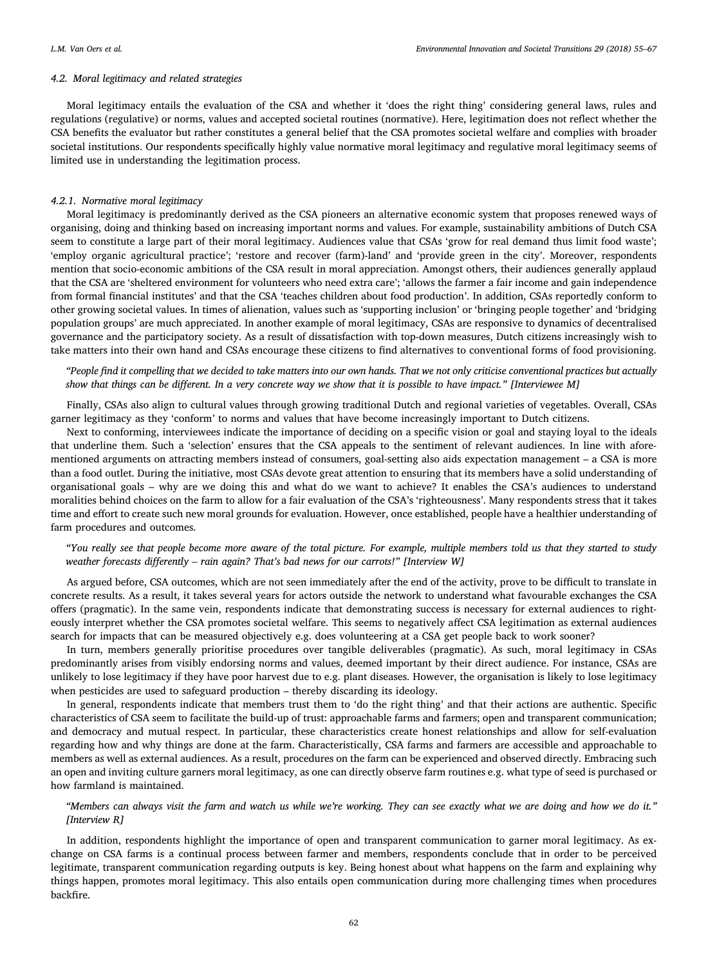# 4.2. Moral legitimacy and related strategies

Moral legitimacy entails the evaluation of the CSA and whether it 'does the right thing' considering general laws, rules and regulations (regulative) or norms, values and accepted societal routines (normative). Here, legitimation does not reflect whether the CSA benefits the evaluator but rather constitutes a general belief that the CSA promotes societal welfare and complies with broader societal institutions. Our respondents specifically highly value normative moral legitimacy and regulative moral legitimacy seems of limited use in understanding the legitimation process.

## 4.2.1. Normative moral legitimacy

Moral legitimacy is predominantly derived as the CSA pioneers an alternative economic system that proposes renewed ways of organising, doing and thinking based on increasing important norms and values. For example, sustainability ambitions of Dutch CSA seem to constitute a large part of their moral legitimacy. Audiences value that CSAs 'grow for real demand thus limit food waste'; 'employ organic agricultural practice'; 'restore and recover (farm)-land' and 'provide green in the city'. Moreover, respondents mention that socio-economic ambitions of the CSA result in moral appreciation. Amongst others, their audiences generally applaud that the CSA are 'sheltered environment for volunteers who need extra care'; 'allows the farmer a fair income and gain independence from formal financial institutes' and that the CSA 'teaches children about food production'. In addition, CSAs reportedly conform to other growing societal values. In times of alienation, values such as 'supporting inclusion' or 'bringing people together' and 'bridging population groups' are much appreciated. In another example of moral legitimacy, CSAs are responsive to dynamics of decentralised governance and the participatory society. As a result of dissatisfaction with top-down measures, Dutch citizens increasingly wish to take matters into their own hand and CSAs encourage these citizens to find alternatives to conventional forms of food provisioning.

"People find it compelling that we decided to take matters into our own hands. That we not only criticise conventional practices but actually show that things can be different. In a very concrete way we show that it is possible to have impact." [Interviewee M]

Finally, CSAs also align to cultural values through growing traditional Dutch and regional varieties of vegetables. Overall, CSAs garner legitimacy as they 'conform' to norms and values that have become increasingly important to Dutch citizens.

Next to conforming, interviewees indicate the importance of deciding on a specific vision or goal and staying loyal to the ideals that underline them. Such a 'selection' ensures that the CSA appeals to the sentiment of relevant audiences. In line with aforementioned arguments on attracting members instead of consumers, goal-setting also aids expectation management – a CSA is more than a food outlet. During the initiative, most CSAs devote great attention to ensuring that its members have a solid understanding of organisational goals – why are we doing this and what do we want to achieve? It enables the CSA's audiences to understand moralities behind choices on the farm to allow for a fair evaluation of the CSA's 'righteousness'. Many respondents stress that it takes time and effort to create such new moral grounds for evaluation. However, once established, people have a healthier understanding of farm procedures and outcomes.

# "You really see that people become more aware of the total picture. For example, multiple members told us that they started to study weather forecasts differently – rain again? That's bad news for our carrots!" [Interview W]

As argued before, CSA outcomes, which are not seen immediately after the end of the activity, prove to be difficult to translate in concrete results. As a result, it takes several years for actors outside the network to understand what favourable exchanges the CSA offers (pragmatic). In the same vein, respondents indicate that demonstrating success is necessary for external audiences to righteously interpret whether the CSA promotes societal welfare. This seems to negatively affect CSA legitimation as external audiences search for impacts that can be measured objectively e.g. does volunteering at a CSA get people back to work sooner?

In turn, members generally prioritise procedures over tangible deliverables (pragmatic). As such, moral legitimacy in CSAs predominantly arises from visibly endorsing norms and values, deemed important by their direct audience. For instance, CSAs are unlikely to lose legitimacy if they have poor harvest due to e.g. plant diseases. However, the organisation is likely to lose legitimacy when pesticides are used to safeguard production – thereby discarding its ideology.

In general, respondents indicate that members trust them to 'do the right thing' and that their actions are authentic. Specific characteristics of CSA seem to facilitate the build-up of trust: approachable farms and farmers; open and transparent communication; and democracy and mutual respect. In particular, these characteristics create honest relationships and allow for self-evaluation regarding how and why things are done at the farm. Characteristically, CSA farms and farmers are accessible and approachable to members as well as external audiences. As a result, procedures on the farm can be experienced and observed directly. Embracing such an open and inviting culture garners moral legitimacy, as one can directly observe farm routines e.g. what type of seed is purchased or how farmland is maintained.

# "Members can always visit the farm and watch us while we're working. They can see exactly what we are doing and how we do it." [Interview R]

In addition, respondents highlight the importance of open and transparent communication to garner moral legitimacy. As exchange on CSA farms is a continual process between farmer and members, respondents conclude that in order to be perceived legitimate, transparent communication regarding outputs is key. Being honest about what happens on the farm and explaining why things happen, promotes moral legitimacy. This also entails open communication during more challenging times when procedures backfire.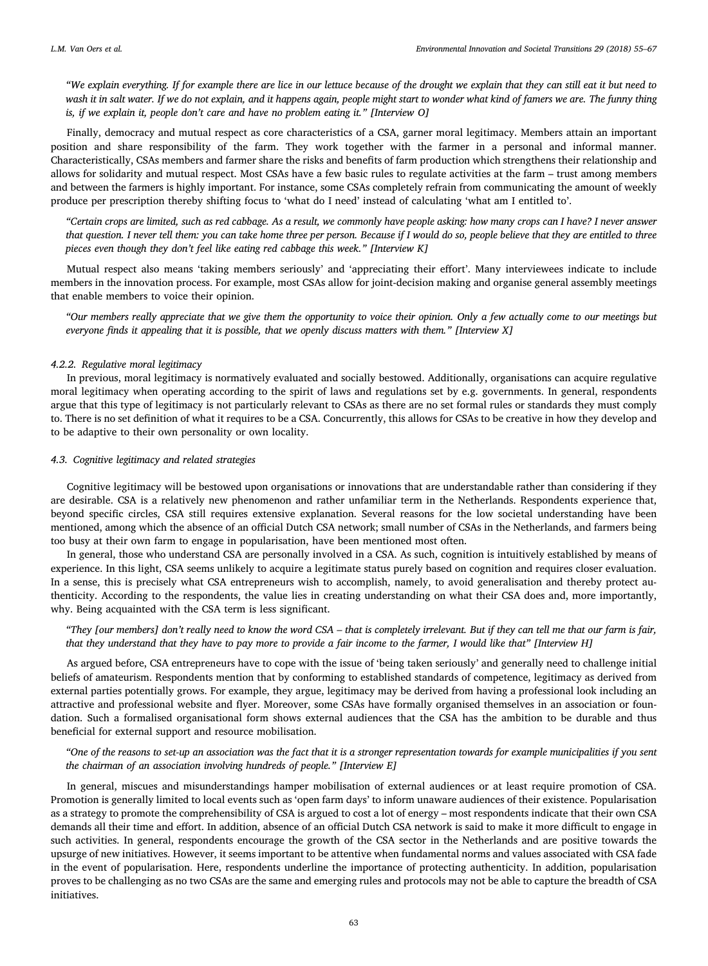"We explain everything. If for example there are lice in our lettuce because of the drought we explain that they can still eat it but need to wash it in salt water. If we do not explain, and it happens again, people might start to wonder what kind of famers we are. The funny thing is, if we explain it, people don't care and have no problem eating it." [Interview O]

Finally, democracy and mutual respect as core characteristics of a CSA, garner moral legitimacy. Members attain an important position and share responsibility of the farm. They work together with the farmer in a personal and informal manner. Characteristically, CSAs members and farmer share the risks and benefits of farm production which strengthens their relationship and allows for solidarity and mutual respect. Most CSAs have a few basic rules to regulate activities at the farm – trust among members and between the farmers is highly important. For instance, some CSAs completely refrain from communicating the amount of weekly produce per prescription thereby shifting focus to 'what do I need' instead of calculating 'what am I entitled to'.

"Certain crops are limited, such as red cabbage. As a result, we commonly have people asking: how many crops can I have? I never answer that question. I never tell them: you can take home three per person. Because if I would do so, people believe that they are entitled to three pieces even though they don't feel like eating red cabbage this week." [Interview K]

Mutual respect also means 'taking members seriously' and 'appreciating their effort'. Many interviewees indicate to include members in the innovation process. For example, most CSAs allow for joint-decision making and organise general assembly meetings that enable members to voice their opinion.

"Our members really appreciate that we give them the opportunity to voice their opinion. Only a few actually come to our meetings but everyone finds it appealing that it is possible, that we openly discuss matters with them." [Interview X]

## 4.2.2. Regulative moral legitimacy

In previous, moral legitimacy is normatively evaluated and socially bestowed. Additionally, organisations can acquire regulative moral legitimacy when operating according to the spirit of laws and regulations set by e.g. governments. In general, respondents argue that this type of legitimacy is not particularly relevant to CSAs as there are no set formal rules or standards they must comply to. There is no set definition of what it requires to be a CSA. Concurrently, this allows for CSAs to be creative in how they develop and to be adaptive to their own personality or own locality.

## <span id="page-8-0"></span>4.3. Cognitive legitimacy and related strategies

Cognitive legitimacy will be bestowed upon organisations or innovations that are understandable rather than considering if they are desirable. CSA is a relatively new phenomenon and rather unfamiliar term in the Netherlands. Respondents experience that, beyond specific circles, CSA still requires extensive explanation. Several reasons for the low societal understanding have been mentioned, among which the absence of an official Dutch CSA network; small number of CSAs in the Netherlands, and farmers being too busy at their own farm to engage in popularisation, have been mentioned most often.

In general, those who understand CSA are personally involved in a CSA. As such, cognition is intuitively established by means of experience. In this light, CSA seems unlikely to acquire a legitimate status purely based on cognition and requires closer evaluation. In a sense, this is precisely what CSA entrepreneurs wish to accomplish, namely, to avoid generalisation and thereby protect authenticity. According to the respondents, the value lies in creating understanding on what their CSA does and, more importantly, why. Being acquainted with the CSA term is less significant.

# "They [our members] don't really need to know the word CSA – that is completely irrelevant. But if they can tell me that our farm is fair, that they understand that they have to pay more to provide a fair income to the farmer, I would like that" [Interview H]

As argued before, CSA entrepreneurs have to cope with the issue of 'being taken seriously' and generally need to challenge initial beliefs of amateurism. Respondents mention that by conforming to established standards of competence, legitimacy as derived from external parties potentially grows. For example, they argue, legitimacy may be derived from having a professional look including an attractive and professional website and flyer. Moreover, some CSAs have formally organised themselves in an association or foundation. Such a formalised organisational form shows external audiences that the CSA has the ambition to be durable and thus beneficial for external support and resource mobilisation.

# "One of the reasons to set-up an association was the fact that it is a stronger representation towards for example municipalities if you sent the chairman of an association involving hundreds of people." [Interview E]

In general, miscues and misunderstandings hamper mobilisation of external audiences or at least require promotion of CSA. Promotion is generally limited to local events such as 'open farm days' to inform unaware audiences of their existence. Popularisation as a strategy to promote the comprehensibility of CSA is argued to cost a lot of energy – most respondents indicate that their own CSA demands all their time and effort. In addition, absence of an official Dutch CSA network is said to make it more difficult to engage in such activities. In general, respondents encourage the growth of the CSA sector in the Netherlands and are positive towards the upsurge of new initiatives. However, it seems important to be attentive when fundamental norms and values associated with CSA fade in the event of popularisation. Here, respondents underline the importance of protecting authenticity. In addition, popularisation proves to be challenging as no two CSAs are the same and emerging rules and protocols may not be able to capture the breadth of CSA initiatives.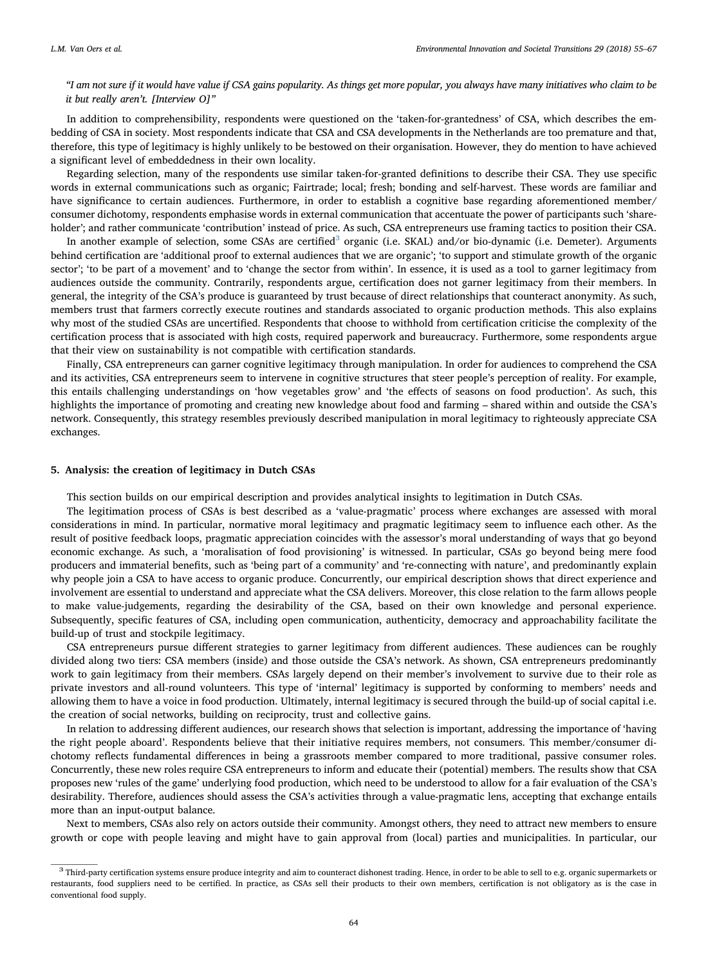"I am not sure if it would have value if CSA gains popularity. As things get more popular, you always have many initiatives who claim to be it but really aren't. [Interview O]"

In addition to comprehensibility, respondents were questioned on the 'taken-for-grantedness' of CSA, which describes the embedding of CSA in society. Most respondents indicate that CSA and CSA developments in the Netherlands are too premature and that, therefore, this type of legitimacy is highly unlikely to be bestowed on their organisation. However, they do mention to have achieved a significant level of embeddedness in their own locality.

Regarding selection, many of the respondents use similar taken-for-granted definitions to describe their CSA. They use specific words in external communications such as organic; Fairtrade; local; fresh; bonding and self-harvest. These words are familiar and have significance to certain audiences. Furthermore, in order to establish a cognitive base regarding aforementioned member/ consumer dichotomy, respondents emphasise words in external communication that accentuate the power of participants such 'shareholder'; and rather communicate 'contribution' instead of price. As such, CSA entrepreneurs use framing tactics to position their CSA.

In another example of selection, some CSAs are certified<sup>3</sup> organic (i.e. SKAL) and/or bio-dynamic (i.e. Demeter). Arguments behind certification are 'additional proof to external audiences that we are organic'; 'to support and stimulate growth of the organic sector'; 'to be part of a movement' and to 'change the sector from within'. In essence, it is used as a tool to garner legitimacy from audiences outside the community. Contrarily, respondents argue, certification does not garner legitimacy from their members. In general, the integrity of the CSA's produce is guaranteed by trust because of direct relationships that counteract anonymity. As such, members trust that farmers correctly execute routines and standards associated to organic production methods. This also explains why most of the studied CSAs are uncertified. Respondents that choose to withhold from certification criticise the complexity of the certification process that is associated with high costs, required paperwork and bureaucracy. Furthermore, some respondents argue that their view on sustainability is not compatible with certification standards.

Finally, CSA entrepreneurs can garner cognitive legitimacy through manipulation. In order for audiences to comprehend the CSA and its activities, CSA entrepreneurs seem to intervene in cognitive structures that steer people's perception of reality. For example, this entails challenging understandings on 'how vegetables grow' and 'the effects of seasons on food production'. As such, this highlights the importance of promoting and creating new knowledge about food and farming – shared within and outside the CSA's network. Consequently, this strategy resembles previously described manipulation in moral legitimacy to righteously appreciate CSA exchanges.

### <span id="page-9-0"></span>5. Analysis: the creation of legitimacy in Dutch CSAs

This section builds on our empirical description and provides analytical insights to legitimation in Dutch CSAs.

The legitimation process of CSAs is best described as a 'value-pragmatic' process where exchanges are assessed with moral considerations in mind. In particular, normative moral legitimacy and pragmatic legitimacy seem to influence each other. As the result of positive feedback loops, pragmatic appreciation coincides with the assessor's moral understanding of ways that go beyond economic exchange. As such, a 'moralisation of food provisioning' is witnessed. In particular, CSAs go beyond being mere food producers and immaterial benefits, such as 'being part of a community' and 're-connecting with nature', and predominantly explain why people join a CSA to have access to organic produce. Concurrently, our empirical description shows that direct experience and involvement are essential to understand and appreciate what the CSA delivers. Moreover, this close relation to the farm allows people to make value-judgements, regarding the desirability of the CSA, based on their own knowledge and personal experience. Subsequently, specific features of CSA, including open communication, authenticity, democracy and approachability facilitate the build-up of trust and stockpile legitimacy.

CSA entrepreneurs pursue different strategies to garner legitimacy from different audiences. These audiences can be roughly divided along two tiers: CSA members (inside) and those outside the CSA's network. As shown, CSA entrepreneurs predominantly work to gain legitimacy from their members. CSAs largely depend on their member's involvement to survive due to their role as private investors and all-round volunteers. This type of 'internal' legitimacy is supported by conforming to members' needs and allowing them to have a voice in food production. Ultimately, internal legitimacy is secured through the build-up of social capital i.e. the creation of social networks, building on reciprocity, trust and collective gains.

In relation to addressing different audiences, our research shows that selection is important, addressing the importance of 'having the right people aboard'. Respondents believe that their initiative requires members, not consumers. This member/consumer dichotomy reflects fundamental differences in being a grassroots member compared to more traditional, passive consumer roles. Concurrently, these new roles require CSA entrepreneurs to inform and educate their (potential) members. The results show that CSA proposes new 'rules of the game' underlying food production, which need to be understood to allow for a fair evaluation of the CSA's desirability. Therefore, audiences should assess the CSA's activities through a value-pragmatic lens, accepting that exchange entails more than an input-output balance.

Next to members, CSAs also rely on actors outside their community. Amongst others, they need to attract new members to ensure growth or cope with people leaving and might have to gain approval from (local) parties and municipalities. In particular, our

<span id="page-9-1"></span><sup>&</sup>lt;sup>3</sup> Third-party certification systems ensure produce integrity and aim to counteract dishonest trading. Hence, in order to be able to sell to e.g. organic supermarkets or restaurants, food suppliers need to be certified. In practice, as CSAs sell their products to their own members, certification is not obligatory as is the case in conventional food supply.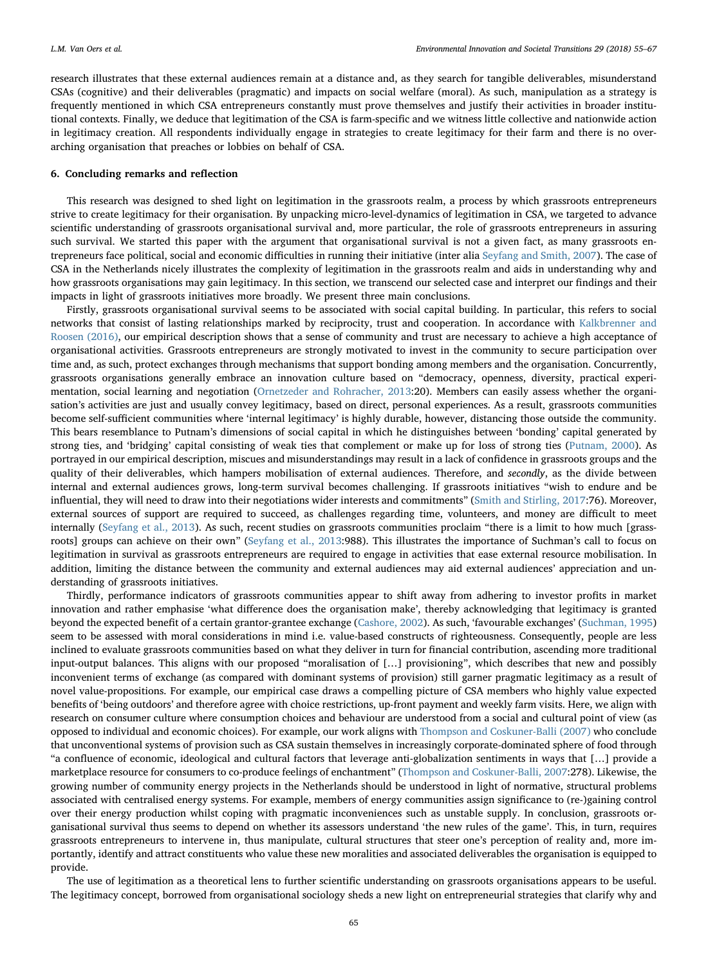research illustrates that these external audiences remain at a distance and, as they search for tangible deliverables, misunderstand CSAs (cognitive) and their deliverables (pragmatic) and impacts on social welfare (moral). As such, manipulation as a strategy is frequently mentioned in which CSA entrepreneurs constantly must prove themselves and justify their activities in broader institutional contexts. Finally, we deduce that legitimation of the CSA is farm-specific and we witness little collective and nationwide action in legitimacy creation. All respondents individually engage in strategies to create legitimacy for their farm and there is no overarching organisation that preaches or lobbies on behalf of CSA.

#### <span id="page-10-0"></span>6. Concluding remarks and reflection

This research was designed to shed light on legitimation in the grassroots realm, a process by which grassroots entrepreneurs strive to create legitimacy for their organisation. By unpacking micro-level-dynamics of legitimation in CSA, we targeted to advance scientific understanding of grassroots organisational survival and, more particular, the role of grassroots entrepreneurs in assuring such survival. We started this paper with the argument that organisational survival is not a given fact, as many grassroots entrepreneurs face political, social and economic difficulties in running their initiative (inter alia [Seyfang and Smith, 2007\)](#page-12-2). The case of CSA in the Netherlands nicely illustrates the complexity of legitimation in the grassroots realm and aids in understanding why and how grassroots organisations may gain legitimacy. In this section, we transcend our selected case and interpret our findings and their impacts in light of grassroots initiatives more broadly. We present three main conclusions.

Firstly, grassroots organisational survival seems to be associated with social capital building. In particular, this refers to social networks that consist of lasting relationships marked by reciprocity, trust and cooperation. In accordance with [Kalkbrenner and](#page-12-20) [Roosen \(2016\),](#page-12-20) our empirical description shows that a sense of community and trust are necessary to achieve a high acceptance of organisational activities. Grassroots entrepreneurs are strongly motivated to invest in the community to secure participation over time and, as such, protect exchanges through mechanisms that support bonding among members and the organisation. Concurrently, grassroots organisations generally embrace an innovation culture based on "democracy, openness, diversity, practical experimentation, social learning and negotiation ([Ornetzeder and Rohracher, 2013](#page-12-1):20). Members can easily assess whether the organisation's activities are just and usually convey legitimacy, based on direct, personal experiences. As a result, grassroots communities become self-sufficient communities where 'internal legitimacy' is highly durable, however, distancing those outside the community. This bears resemblance to Putnam's dimensions of social capital in which he distinguishes between 'bonding' capital generated by strong ties, and 'bridging' capital consisting of weak ties that complement or make up for loss of strong ties ([Putnam, 2000](#page-12-47)). As portrayed in our empirical description, miscues and misunderstandings may result in a lack of confidence in grassroots groups and the quality of their deliverables, which hampers mobilisation of external audiences. Therefore, and secondly, as the divide between internal and external audiences grows, long-term survival becomes challenging. If grassroots initiatives "wish to endure and be influential, they will need to draw into their negotiations wider interests and commitments" [\(Smith and Stirling, 2017:](#page-12-21)76). Moreover, external sources of support are required to succeed, as challenges regarding time, volunteers, and money are difficult to meet internally ([Seyfang et al., 2013\)](#page-12-22). As such, recent studies on grassroots communities proclaim "there is a limit to how much [grassroots] groups can achieve on their own" ([Seyfang et al., 2013:](#page-12-22)988). This illustrates the importance of Suchman's call to focus on legitimation in survival as grassroots entrepreneurs are required to engage in activities that ease external resource mobilisation. In addition, limiting the distance between the community and external audiences may aid external audiences' appreciation and understanding of grassroots initiatives.

Thirdly, performance indicators of grassroots communities appear to shift away from adhering to investor profits in market innovation and rather emphasise 'what difference does the organisation make', thereby acknowledging that legitimacy is granted beyond the expected benefit of a certain grantor-grantee exchange [\(Cashore, 2002\)](#page-11-5). As such, 'favourable exchanges' ([Suchman, 1995](#page-12-26)) seem to be assessed with moral considerations in mind i.e. value-based constructs of righteousness. Consequently, people are less inclined to evaluate grassroots communities based on what they deliver in turn for financial contribution, ascending more traditional input-output balances. This aligns with our proposed "moralisation of […] provisioning", which describes that new and possibly inconvenient terms of exchange (as compared with dominant systems of provision) still garner pragmatic legitimacy as a result of novel value-propositions. For example, our empirical case draws a compelling picture of CSA members who highly value expected benefits of 'being outdoors' and therefore agree with choice restrictions, up-front payment and weekly farm visits. Here, we align with research on consumer culture where consumption choices and behaviour are understood from a social and cultural point of view (as opposed to individual and economic choices). For example, our work aligns with [Thompson and Coskuner-Balli \(2007\)](#page-12-48) who conclude that unconventional systems of provision such as CSA sustain themselves in increasingly corporate-dominated sphere of food through "a confluence of economic, ideological and cultural factors that leverage anti-globalization sentiments in ways that […] provide a marketplace resource for consumers to co-produce feelings of enchantment" [\(Thompson and Coskuner-Balli, 2007:](#page-12-48)278). Likewise, the growing number of community energy projects in the Netherlands should be understood in light of normative, structural problems associated with centralised energy systems. For example, members of energy communities assign significance to (re-)gaining control over their energy production whilst coping with pragmatic inconveniences such as unstable supply. In conclusion, grassroots organisational survival thus seems to depend on whether its assessors understand 'the new rules of the game'. This, in turn, requires grassroots entrepreneurs to intervene in, thus manipulate, cultural structures that steer one's perception of reality and, more importantly, identify and attract constituents who value these new moralities and associated deliverables the organisation is equipped to provide.

The use of legitimation as a theoretical lens to further scientific understanding on grassroots organisations appears to be useful. The legitimacy concept, borrowed from organisational sociology sheds a new light on entrepreneurial strategies that clarify why and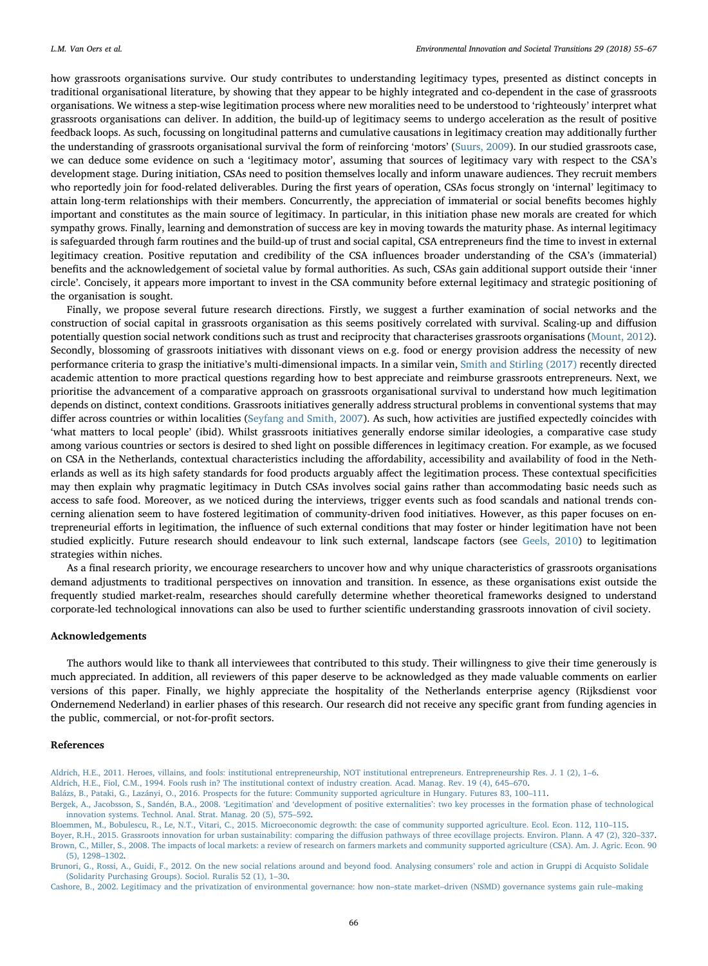how grassroots organisations survive. Our study contributes to understanding legitimacy types, presented as distinct concepts in traditional organisational literature, by showing that they appear to be highly integrated and co-dependent in the case of grassroots organisations. We witness a step-wise legitimation process where new moralities need to be understood to 'righteously' interpret what grassroots organisations can deliver. In addition, the build-up of legitimacy seems to undergo acceleration as the result of positive feedback loops. As such, focussing on longitudinal patterns and cumulative causations in legitimacy creation may additionally further the understanding of grassroots organisational survival the form of reinforcing 'motors' [\(Suurs, 2009\)](#page-12-49). In our studied grassroots case, we can deduce some evidence on such a 'legitimacy motor', assuming that sources of legitimacy vary with respect to the CSA's development stage. During initiation, CSAs need to position themselves locally and inform unaware audiences. They recruit members who reportedly join for food-related deliverables. During the first years of operation, CSAs focus strongly on 'internal' legitimacy to attain long-term relationships with their members. Concurrently, the appreciation of immaterial or social benefits becomes highly important and constitutes as the main source of legitimacy. In particular, in this initiation phase new morals are created for which sympathy grows. Finally, learning and demonstration of success are key in moving towards the maturity phase. As internal legitimacy is safeguarded through farm routines and the build-up of trust and social capital, CSA entrepreneurs find the time to invest in external legitimacy creation. Positive reputation and credibility of the CSA influences broader understanding of the CSA's (immaterial) benefits and the acknowledgement of societal value by formal authorities. As such, CSAs gain additional support outside their 'inner circle'. Concisely, it appears more important to invest in the CSA community before external legitimacy and strategic positioning of the organisation is sought.

Finally, we propose several future research directions. Firstly, we suggest a further examination of social networks and the construction of social capital in grassroots organisation as this seems positively correlated with survival. Scaling-up and diffusion potentially question social network conditions such as trust and reciprocity that characterises grassroots organisations ([Mount, 2012](#page-12-50)). Secondly, blossoming of grassroots initiatives with dissonant views on e.g. food or energy provision address the necessity of new performance criteria to grasp the initiative's multi-dimensional impacts. In a similar vein, [Smith and Stirling \(2017\)](#page-12-21) recently directed academic attention to more practical questions regarding how to best appreciate and reimburse grassroots entrepreneurs. Next, we prioritise the advancement of a comparative approach on grassroots organisational survival to understand how much legitimation depends on distinct, context conditions. Grassroots initiatives generally address structural problems in conventional systems that may differ across countries or within localities ([Seyfang and Smith, 2007](#page-12-2)). As such, how activities are justified expectedly coincides with 'what matters to local people' (ibid). Whilst grassroots initiatives generally endorse similar ideologies, a comparative case study among various countries or sectors is desired to shed light on possible differences in legitimacy creation. For example, as we focused on CSA in the Netherlands, contextual characteristics including the affordability, accessibility and availability of food in the Netherlands as well as its high safety standards for food products arguably affect the legitimation process. These contextual specificities may then explain why pragmatic legitimacy in Dutch CSAs involves social gains rather than accommodating basic needs such as access to safe food. Moreover, as we noticed during the interviews, trigger events such as food scandals and national trends concerning alienation seem to have fostered legitimation of community-driven food initiatives. However, as this paper focuses on entrepreneurial efforts in legitimation, the influence of such external conditions that may foster or hinder legitimation have not been studied explicitly. Future research should endeavour to link such external, landscape factors (see [Geels, 2010\)](#page-12-23) to legitimation strategies within niches.

As a final research priority, we encourage researchers to uncover how and why unique characteristics of grassroots organisations demand adjustments to traditional perspectives on innovation and transition. In essence, as these organisations exist outside the frequently studied market-realm, researches should carefully determine whether theoretical frameworks designed to understand corporate-led technological innovations can also be used to further scientific understanding grassroots innovation of civil society.

## Acknowledgements

The authors would like to thank all interviewees that contributed to this study. Their willingness to give their time generously is much appreciated. In addition, all reviewers of this paper deserve to be acknowledged as they made valuable comments on earlier versions of this paper. Finally, we highly appreciate the hospitality of the Netherlands enterprise agency (Rijksdienst voor Ondernemend Nederland) in earlier phases of this research. Our research did not receive any specific grant from funding agencies in the public, commercial, or not-for-profit sectors.

#### References

- <span id="page-11-7"></span><span id="page-11-1"></span>[Aldrich, H.E., 2011. Heroes, villains, and fools: institutional entrepreneurship, NOT institutional entrepreneurs. Entrepreneurship Res. J. 1 \(2\), 1](http://refhub.elsevier.com/S2210-4224(17)30238-1/sbref0005)–6. [Aldrich, H.E., Fiol, C.M., 1994. Fools rush in? The institutional context of industry creation. Acad. Manag. Rev. 19 \(4\), 645](http://refhub.elsevier.com/S2210-4224(17)30238-1/sbref0010)–670.
- <span id="page-11-2"></span>[Balázs, B., Pataki, G., Lazányi, O., 2016. Prospects for the future: Community supported agriculture in Hungary. Futures 83, 100](http://refhub.elsevier.com/S2210-4224(17)30238-1/sbref0015)–111.

<span id="page-11-5"></span>[Cashore, B., 2002. Legitimacy and the privatization of environmental governance: how non](http://refhub.elsevier.com/S2210-4224(17)30238-1/sbref0045)–state market–driven (NSMD) governance systems gain rule–making

<span id="page-11-6"></span>Bergek, A., Jacobsson, S., Sandén, B.A., 2008. 'Legitimation' and 'development of positive externalities'[: two key processes in the formation phase of technological](http://refhub.elsevier.com/S2210-4224(17)30238-1/sbref0020) [innovation systems. Technol. Anal. Strat. Manag. 20 \(5\), 575](http://refhub.elsevier.com/S2210-4224(17)30238-1/sbref0020)–592.

<span id="page-11-8"></span>[Bloemmen, M., Bobulescu, R., Le, N.T., Vitari, C., 2015. Microeconomic degrowth: the case of community supported agriculture. Ecol. Econ. 112, 110](http://refhub.elsevier.com/S2210-4224(17)30238-1/sbref0025)–115.

<span id="page-11-3"></span><span id="page-11-0"></span>[Boyer, R.H., 2015. Grassroots innovation for urban sustainability: comparing the di](http://refhub.elsevier.com/S2210-4224(17)30238-1/sbref0030)ffusion pathways of three ecovillage projects. Environ. Plann. A 47 (2), 320–337. [Brown, C., Miller, S., 2008. The impacts of local markets: a review of research on farmers markets and community supported agriculture \(CSA\). Am. J. Agric. Econ. 90](http://refhub.elsevier.com/S2210-4224(17)30238-1/sbref0035) [\(5\), 1298](http://refhub.elsevier.com/S2210-4224(17)30238-1/sbref0035)–1302.

<span id="page-11-4"></span>[Brunori, G., Rossi, A., Guidi, F., 2012. On the new social relations around and beyond food. Analysing consumers](http://refhub.elsevier.com/S2210-4224(17)30238-1/sbref0040)' role and action in Gruppi di Acquisto Solidale [\(Solidarity Purchasing Groups\). Sociol. Ruralis 52 \(1\), 1](http://refhub.elsevier.com/S2210-4224(17)30238-1/sbref0040)–30.